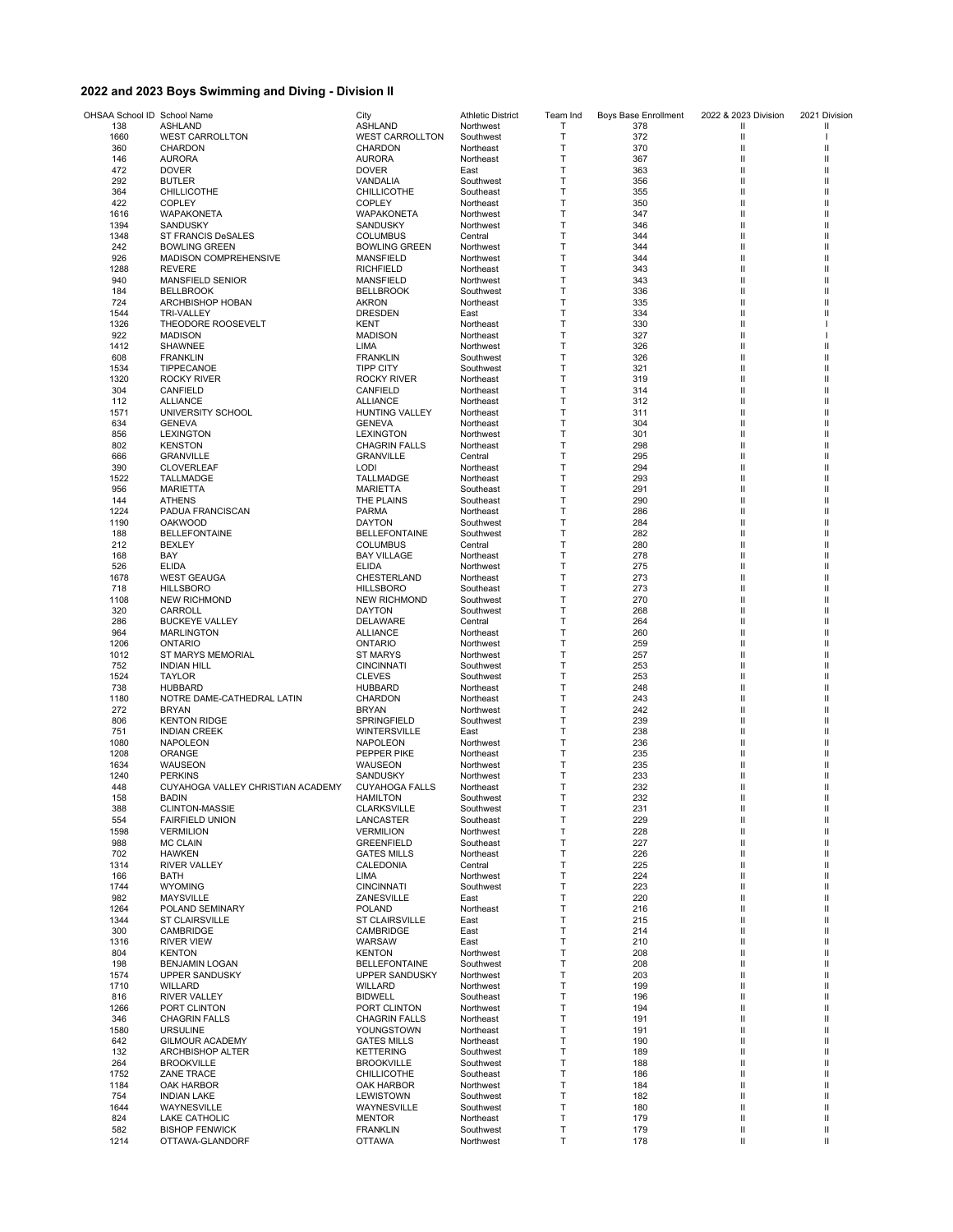## **2022 and 2023 Boys Swimming and Diving - Division II**

| OHSAA School ID School Name |                                                     | City                                     | <b>Athletic District</b> | Team Ind | Boys Base Enrollment | 2022 & 2023 Division | 2021 Division |
|-----------------------------|-----------------------------------------------------|------------------------------------------|--------------------------|----------|----------------------|----------------------|---------------|
| 138                         | ASHLAND                                             | <b>ASHLAND</b>                           | Northwest                | Т        | 378                  | Ш                    | Ш             |
| 1660                        | <b>WEST CARROLLTON</b>                              | <b>WEST CARROLLTON</b>                   | Southwest                | T<br>Т   | 372<br>370           | Ш<br>Ш               | Ш             |
| 360<br>146                  | CHARDON<br><b>AURORA</b>                            | CHARDON<br><b>AURORA</b>                 | Northeast<br>Northeast   | Т        | 367                  | Ш                    | Ш             |
| 472                         | <b>DOVER</b>                                        | <b>DOVER</b>                             | East                     | Т        | 363                  | Ш                    | Ш             |
| 292                         | <b>BUTLER</b>                                       | VANDALIA                                 | Southwest                | Т        | 356                  | Ш                    | Ш             |
| 364                         | CHILLICOTHE                                         | <b>CHILLICOTHE</b>                       | Southeast                | T        | 355                  | Ш                    | Ш             |
| 422                         | <b>COPLEY</b><br>WAPAKONETA                         | COPLEY                                   | Northeast                | Т<br>Т   | 350<br>347           | Ш                    | Ш<br>Ш        |
| 1616<br>1394                | SANDUSKY                                            | WAPAKONETA<br>SANDUSKY                   | Northwest<br>Northwest   | Т        | 346                  | Ш<br>Ш               | Ш             |
| 1348                        | ST FRANCIS DeSALES                                  | <b>COLUMBUS</b>                          | Central                  | т        | 344                  | Ш                    | Ш             |
| 242                         | <b>BOWLING GREEN</b>                                | <b>BOWLING GREEN</b>                     | Northwest                | Т        | 344                  | Ш                    | Ш             |
| 926                         | MADISON COMPREHENSIVE                               | <b>MANSFIELD</b>                         | Northwest                | Т        | 344                  | Ш                    | Ш             |
| 1288                        | <b>REVERE</b>                                       | <b>RICHFIELD</b>                         | Northeast                | T        | 343                  | Ш                    | Ш             |
| 940                         | <b>MANSFIELD SENIOR</b>                             | MANSFIELD                                | Northwest                | Т<br>Т   | 343                  | Ш                    | Ш<br>Ш        |
| 184<br>724                  | <b>BELLBROOK</b><br>ARCHBISHOP HOBAN                | <b>BELLBROOK</b><br><b>AKRON</b>         | Southwest<br>Northeast   | Т        | 336<br>335           | Ш<br>Ш               | Ш             |
| 1544                        | <b>TRI-VALLEY</b>                                   | <b>DRESDEN</b>                           | East                     | Т        | 334                  | Ш                    | Ш             |
| 1326                        | THEODORE ROOSEVELT                                  | KENT                                     | Northeast                | Т        | 330                  | Ш                    |               |
| 922                         | <b>MADISON</b>                                      | <b>MADISON</b>                           | Northeast                | Т        | 327                  | Ш                    |               |
| 1412                        | SHAWNEE                                             | LIMA                                     | Northwest                | Т        | 326                  | Ш                    | Ш             |
| 608<br>1534                 | <b>FRANKLIN</b>                                     | <b>FRANKLIN</b><br><b>TIPP CITY</b>      | Southwest                | Т<br>Т   | 326<br>321           | Ш<br>Ш               | Ш<br>Ш        |
| 1320                        | TIPPECANOE<br><b>ROCKY RIVER</b>                    | ROCKY RIVER                              | Southwest<br>Northeast   | Т        | 319                  | Ш                    | Ш             |
| 304                         | CANFIELD                                            | CANFIELD                                 | Northeast                | T        | 314                  | Ш                    | Ш             |
| 112                         | ALLIANCE                                            | <b>ALLIANCE</b>                          | Northeast                | Т        | 312                  | Ш                    | Ш             |
| 1571                        | UNIVERSITY SCHOOL                                   | <b>HUNTING VALLEY</b>                    | Northeast                | Т        | 311                  | Ш                    | Ш             |
| 634                         | <b>GENEVA</b>                                       | <b>GENEVA</b>                            | Northeast                | Т        | 304                  | Ш                    | Ш             |
| 856                         | <b>LEXINGTON</b>                                    | <b>LEXINGTON</b>                         | Northwest                | T        | 301                  | Ш                    | Ш             |
| 802                         | <b>KENSTON</b><br><b>GRANVILLE</b>                  | <b>CHAGRIN FALLS</b><br><b>GRANVILLE</b> | Northeast                | Т<br>Т   | 298<br>295           | Ш<br>Ш               | Ш<br>Ш        |
| 666<br>390                  | <b>CLOVERLEAF</b>                                   | <b>LODI</b>                              | Central<br>Northeast     | т        | 294                  | Ш                    | Ш             |
| 1522                        | TALLMADGE                                           | TALLMADGE                                | Northeast                | Т        | 293                  | Ш                    | Ш             |
| 956                         | <b>MARIETTA</b>                                     | <b>MARIETTA</b>                          | Southeast                | Т        | 291                  | Ш                    | Ш             |
| 144                         | <b>ATHENS</b>                                       | THE PLAINS                               | Southeast                | Т        | 290                  | Ш                    | Ш             |
| 1224                        | PADUA FRANCISCAN                                    | <b>PARMA</b>                             | Northeast                | T        | 286                  | Ш                    | Ш             |
| 1190                        | <b>OAKWOOD</b>                                      | <b>DAYTON</b>                            | Southwest                | Т        | 284                  | Ш                    | Ш             |
| 188<br>212                  | <b>BELLEFONTAINE</b><br><b>BEXLEY</b>               | <b>BELLEFONTAINE</b><br><b>COLUMBUS</b>  | Southwest<br>Central     | Т<br>T   | 282<br>280           | Ш<br>Ш               | Ш<br>Ш        |
| 168                         | BAY                                                 | <b>BAY VILLAGE</b>                       | Northeast                | Т        | 278                  | Ш                    | Ш             |
| 526                         | <b>ELIDA</b>                                        | <b>ELIDA</b>                             | Northwest                | Т        | 275                  | Ш                    | Ш             |
| 1678                        | <b>WEST GEAUGA</b>                                  | CHESTERLAND                              | Northeast                | Т        | 273                  | Ш                    | Ш             |
| 718                         | <b>HILLSBORO</b>                                    | <b>HILLSBORO</b>                         | Southeast                | T        | 273                  | Ш                    | Ш             |
| 1108                        | <b>NEW RICHMOND</b>                                 | <b>NEW RICHMOND</b>                      | Southwest                | Т        | 270                  | Ш                    | Ш             |
| 320<br>286                  | CARROLL                                             | <b>DAYTON</b><br><b>DELAWARE</b>         | Southwest                | Т<br>т   | 268<br>264           | Ш<br>Ш               | Ш<br>Ш        |
| 964                         | <b>BUCKEYE VALLEY</b><br><b>MARLINGTON</b>          | <b>ALLIANCE</b>                          | Central<br>Northeast     | Т        | 260                  | Ш                    | Ш             |
| 1206                        | <b>ONTARIO</b>                                      | <b>ONTARIO</b>                           | Northwest                | Т        | 259                  | Ш                    | Ш             |
| 1012                        | ST MARYS MEMORIAL                                   | <b>ST MARYS</b>                          | Northwest                | Т        | 257                  | Ш                    | Ш             |
| 752                         | <b>INDIAN HILL</b>                                  | <b>CINCINNATI</b>                        | Southwest                | T        | 253                  | Ш                    | Ш             |
| 1524                        | <b>TAYLOR</b>                                       | <b>CLEVES</b>                            | Southwest                | Т        | 253                  | Ш                    | Ш             |
| 738                         | <b>HUBBARD</b>                                      | <b>HUBBARD</b>                           | Northeast                | Т        | 248                  | Ш                    | Ш             |
| 1180<br>272                 | NOTRE DAME-CATHEDRAL LATIN<br><b>BRYAN</b>          | CHARDON<br><b>BRYAN</b>                  | Northeast<br>Northwest   | Т<br>Т   | 243<br>242           | Ш<br>Ш               | Ш<br>Ш        |
| 806                         | <b>KENTON RIDGE</b>                                 | SPRINGFIELD                              | Southwest                | Т        | 239                  | Ш                    | Ш             |
| 751                         | <b>INDIAN CREEK</b>                                 | WINTERSVILLE                             | East                     | Т        | 238                  | Ш                    | Ш             |
| 1080                        | <b>NAPOLEON</b>                                     | NAPOLEON                                 | Northwest                | Т        | 236                  | Ш                    | Ш             |
| 1208                        | ORANGE                                              | PEPPER PIKE                              | Northeast                | Т        | 235                  | Ш                    | Ш             |
| 1634                        | WAUSEON                                             | WAUSEON                                  | Northwest                | Т        | 235                  | Ш                    | Ш             |
| 1240<br>448                 | <b>PERKINS</b><br>CUYAHOGA VALLEY CHRISTIAN ACADEMY | SANDUSKY<br><b>CUYAHOGA FALLS</b>        | Northwest<br>Northeast   | Т<br>т   | 233<br>232           | Ш<br>Ш               | ш<br>Ш        |
| 158                         | <b>BADIN</b>                                        | <b>HAMILTON</b>                          | Southwest                | Т        | 232                  | Ш                    | Ш             |
| 388                         | <b>CLINTON-MASSIE</b>                               | <b>CLARKSVILLE</b>                       | Southwest                |          | 231                  |                      | Ш             |
| 554                         | <b>FAIRFIELD UNION</b>                              | LANCASTER                                | Southeast                | Т        | 229                  | Ш                    | Ш             |
| 1598                        | <b>VERMILION</b>                                    | <b>VERMILION</b>                         | Northwest                | T        | 228                  | Ш                    | Ш             |
| 988                         | <b>MC CLAIN</b>                                     | <b>GREENFIELD</b>                        | Southeast                | Т        | 227                  | Ш                    | Ш             |
| 702                         | HAWKEN                                              | <b>GATES MILLS</b>                       | Northeast                | Т        | 226                  | Ш                    | Ш<br>Ш        |
| 1314<br>166                 | <b>RIVER VALLEY</b><br>BATH                         | CALEDONIA<br>LIMA                        | Central<br>Northwest     | Т<br>Т   | 225<br>224           | Ш<br>Ш               | Ш             |
| 1744                        | <b>WYOMING</b>                                      | <b>CINCINNATI</b>                        | Southwest                | Т        | 223                  | Ш                    | Ш             |
| 982                         | MAYSVILLE                                           | ZANESVILLE                               | East                     | Т        | 220                  | Ш                    | Ш             |
| 1264                        | POLAND SEMINARY                                     | <b>POLAND</b>                            | Northeast                | Т        | 216                  | Ш                    | Ш             |
| 1344                        | ST CLAIRSVILLE                                      | <b>ST CLAIRSVILLE</b>                    | East                     | Т        | 215                  | Ш                    | Ш             |
| 300                         | CAMBRIDGE                                           | CAMBRIDGE                                | East                     | Т        | 214                  | Ш                    | Ш             |
| 1316<br>804                 | <b>RIVER VIEW</b><br><b>KENTON</b>                  | WARSAW<br><b>KENTON</b>                  | East<br>Northwest        | Т<br>Т   | 210<br>208           | Ш<br>Ш               | Ш<br>Ш        |
| 198                         | <b>BENJAMIN LOGAN</b>                               | <b>BELLEFONTAINE</b>                     | Southwest                | Т        | 208                  | Ш                    | Ш             |
| 1574                        | UPPER SANDUSKY                                      | <b>UPPER SANDUSKY</b>                    | Northwest                | Т        | 203                  | Ш                    | Ш             |
| 1710                        | WILLARD                                             | WILLARD                                  | Northwest                | Т        | 199                  | Ш                    | Ш             |
| 816                         | <b>RIVER VALLEY</b>                                 | <b>BIDWELL</b>                           | Southeast                | Т        | 196                  | Ш                    | Ш             |
| 1266                        | PORT CLINTON                                        | PORT CLINTON                             | Northwest                | Т        | 194                  | Ш                    | Ш             |
| 346                         | <b>CHAGRIN FALLS</b>                                | <b>CHAGRIN FALLS</b>                     | Northeast                | Т        | 191                  | Ш                    | Ш<br>Ш        |
| 1580<br>642                 | <b>URSULINE</b><br><b>GILMOUR ACADEMY</b>           | YOUNGSTOWN<br><b>GATES MILLS</b>         | Northeast<br>Northeast   | Т<br>Т   | 191<br>190           | Ш<br>Ш               | Ш             |
| 132                         | ARCHBISHOP ALTER                                    | <b>KETTERING</b>                         | Southwest                | Т        | 189                  | Ш                    | Ш             |
| 264                         | <b>BROOKVILLE</b>                                   | <b>BROOKVILLE</b>                        | Southwest                | Т        | 188                  | Ш                    | Ш             |
| 1752                        | <b>ZANE TRACE</b>                                   | <b>CHILLICOTHE</b>                       | Southeast                | Т        | 186                  | Ш                    | Ш             |
| 1184                        | OAK HARBOR                                          | OAK HARBOR                               | Northwest                | Т        | 184                  | Ш                    | Ш             |
| 754                         | <b>INDIAN LAKE</b>                                  | LEWISTOWN                                | Southwest                | Т        | 182                  | Ш                    | Ш             |
| 1644<br>824                 | WAYNESVILLE<br>LAKE CATHOLIC                        | WAYNESVILLE<br><b>MENTOR</b>             | Southwest<br>Northeast   | Т<br>T   | 180<br>179           | Ш<br>Ш               | Ш<br>Ш        |
| 582                         | <b>BISHOP FENWICK</b>                               | <b>FRANKLIN</b>                          | Southwest                | т        | 179                  | Ш                    | Ш             |
| 1214                        | OTTAWA-GLANDORF                                     | <b>OTTAWA</b>                            | Northwest                | т        | 178                  | Ш                    | Ш             |